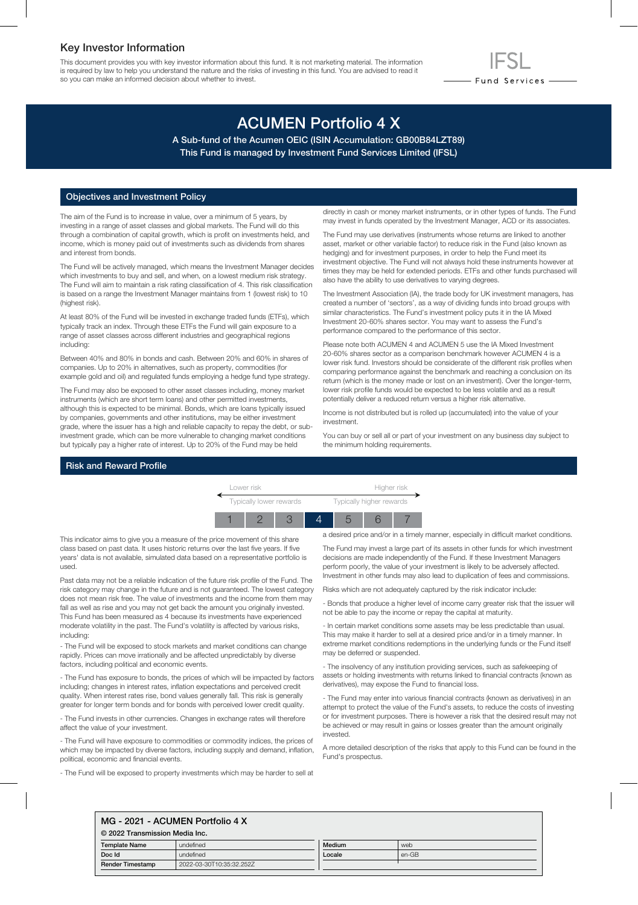# Key Investor Information

This document provides you with key investor information about this fund. It is not marketing material. The information is required by law to help you understand the nature and the risks of investing in this fund. You are advised to read it so you can make an informed decision about whether to invest.

# ACUMEN Portfolio 4 X

A Sub-fund of the Acumen OEIC (ISIN Accumulation: GB00B84LZT89) This Fund is managed by Investment Fund Services Limited (IFSL)

# Objectives and Investment Policy

The aim of the Fund is to increase in value, over a minimum of 5 years, by investing in a range of asset classes and global markets. The Fund will do this through a combination of capital growth, which is profit on investments held, and income, which is money paid out of investments such as dividends from shares and interest from bonds.

The Fund will be actively managed, which means the Investment Manager decides which investments to buy and sell, and when, on a lowest medium risk strategy. The Fund will aim to maintain a risk rating classification of 4. This risk classification is based on a range the Investment Manager maintains from 1 (lowest risk) to 10 (highest risk).

At least 80% of the Fund will be invested in exchange traded funds (ETFs), which typically track an index. Through these ETFs the Fund will gain exposure to a range of asset classes across different industries and geographical regions including:

Between 40% and 80% in bonds and cash. Between 20% and 60% in shares of companies. Up to 20% in alternatives, such as property, commodities (for example gold and oil) and regulated funds employing a hedge fund type strategy.

The Fund may also be exposed to other asset classes including, money market instruments (which are short term loans) and other permitted investments, although this is expected to be minimal. Bonds, which are loans typically issued by companies, governments and other institutions, may be either investment grade, where the issuer has a high and reliable capacity to repay the debt, or subinvestment grade, which can be more vulnerable to changing market conditions but typically pay a higher rate of interest. Up to 20% of the Fund may be held

directly in cash or money market instruments, or in other types of funds. The Fund may invest in funds operated by the Investment Manager, ACD or its associates.

- Fund Services —

The Fund may use derivatives (instruments whose returns are linked to another asset, market or other variable factor) to reduce risk in the Fund (also known as hedging) and for investment purposes, in order to help the Fund meet its investment objective. The Fund will not always hold these instruments however at times they may be held for extended periods. ETFs and other funds purchased will also have the ability to use derivatives to varying degrees.

The Investment Association (IA), the trade body for UK investment managers, has created a number of 'sectors', as a way of dividing funds into broad groups with similar characteristics. The Fund's investment policy puts it in the IA Mixed Investment 20-60% shares sector. You may want to assess the Fund's performance compared to the performance of this sector.

Please note both ACUMEN 4 and ACUMEN 5 use the IA Mixed Investment 20-60% shares sector as a comparison benchmark however ACUMEN 4 is a lower risk fund. Investors should be considerate of the different risk profiles when comparing performance against the benchmark and reaching a conclusion on its return (which is the money made or lost on an investment). Over the longer-term, lower risk profile funds would be expected to be less volatile and as a result potentially deliver a reduced return versus a higher risk alternative.

Income is not distributed but is rolled up (accumulated) into the value of your investment.

You can buy or sell all or part of your investment on any business day subject to the minimum holding requirements.

#### Risk and Reward Profile



This indicator aims to give you a measure of the price movement of this share class based on past data. It uses historic returns over the last five years. If five years' data is not available, simulated data based on a representative portfolio is used.

Past data may not be a reliable indication of the future risk profile of the Fund. The risk category may change in the future and is not guaranteed. The lowest category does not mean risk free. The value of investments and the income from them may fall as well as rise and you may not get back the amount you originally invested. This Fund has been measured as 4 because its investments have experienced moderate volatility in the past. The Fund's volatility is affected by various risks, including:

- The Fund will be exposed to stock markets and market conditions can change rapidly. Prices can move irrationally and be affected unpredictably by diverse factors, including political and economic events.

- The Fund has exposure to bonds, the prices of which will be impacted by factors including; changes in interest rates, inflation expectations and perceived credit quality. When interest rates rise, bond values generally fall. This risk is generally greater for longer term bonds and for bonds with perceived lower credit quality.

- The Fund invests in other currencies. Changes in exchange rates will therefore affect the value of your investment.

- The Fund will have exposure to commodities or commodity indices, the prices of which may be impacted by diverse factors, including supply and demand, inflation, political, economic and financial events.

- The Fund will be exposed to property investments which may be harder to sell at

a desired price and/or in a timely manner, especially in difficult market conditions.

The Fund may invest a large part of its assets in other funds for which investment decisions are made independently of the Fund. If these Investment Managers perform poorly, the value of your investment is likely to be adversely affected. Investment in other funds may also lead to duplication of fees and commissions.

Risks which are not adequately captured by the risk indicator include:

- Bonds that produce a higher level of income carry greater risk that the issuer will not be able to pay the income or repay the capital at maturity.

- In certain market conditions some assets may be less predictable than usual. This may make it harder to sell at a desired price and/or in a timely manner. In extreme market conditions redemptions in the underlying funds or the Fund itself may be deferred or suspended.

- The insolvency of any institution providing services, such as safekeeping of assets or holding investments with returns linked to financial contracts (known as derivatives), may expose the Fund to financial loss.

- The Fund may enter into various financial contracts (known as derivatives) in an attempt to protect the value of the Fund's assets, to reduce the costs of investing or for investment purposes. There is however a risk that the desired result may not be achieved or may result in gains or losses greater than the amount originally invested.

A more detailed description of the risks that apply to this Fund can be found in the Fund's prospectus.